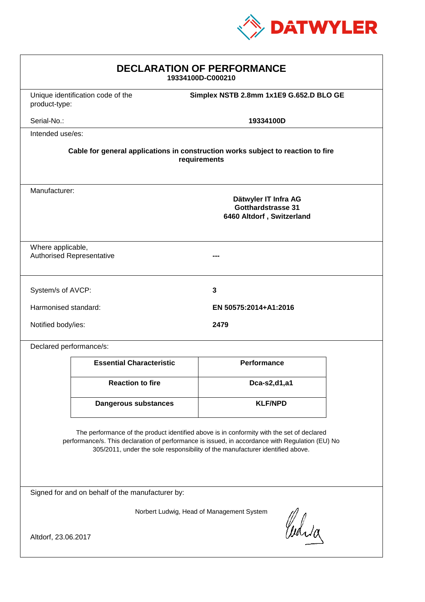

| <b>DECLARATION OF PERFORMANCE</b><br>19334100D-C000210                                                                                                                                                                                                                        |                                   |                                                                                |  |
|-------------------------------------------------------------------------------------------------------------------------------------------------------------------------------------------------------------------------------------------------------------------------------|-----------------------------------|--------------------------------------------------------------------------------|--|
| product-type:                                                                                                                                                                                                                                                                 | Unique identification code of the | Simplex NSTB 2.8mm 1x1E9 G.652.D BLO GE                                        |  |
| Serial-No.:                                                                                                                                                                                                                                                                   |                                   | 19334100D                                                                      |  |
|                                                                                                                                                                                                                                                                               | Intended use/es:                  |                                                                                |  |
| Cable for general applications in construction works subject to reaction to fire<br>requirements                                                                                                                                                                              |                                   |                                                                                |  |
| Manufacturer:                                                                                                                                                                                                                                                                 |                                   | Dätwyler IT Infra AG<br><b>Gotthardstrasse 31</b><br>6460 Altdorf, Switzerland |  |
| Where applicable,                                                                                                                                                                                                                                                             | <b>Authorised Representative</b>  |                                                                                |  |
| System/s of AVCP:                                                                                                                                                                                                                                                             |                                   | 3                                                                              |  |
| Harmonised standard:                                                                                                                                                                                                                                                          |                                   | EN 50575:2014+A1:2016                                                          |  |
| Notified body/ies:                                                                                                                                                                                                                                                            |                                   | 2479                                                                           |  |
| Declared performance/s:                                                                                                                                                                                                                                                       |                                   |                                                                                |  |
|                                                                                                                                                                                                                                                                               | <b>Essential Characteristic</b>   | Performance                                                                    |  |
|                                                                                                                                                                                                                                                                               | <b>Reaction to fire</b>           | Dca-s2,d1,a1                                                                   |  |
|                                                                                                                                                                                                                                                                               | <b>Dangerous substances</b>       | <b>KLF/NPD</b>                                                                 |  |
| The performance of the product identified above is in conformity with the set of declared<br>performance/s. This declaration of performance is issued, in accordance with Regulation (EU) No<br>305/2011, under the sole responsibility of the manufacturer identified above. |                                   |                                                                                |  |
| Signed for and on behalf of the manufacturer by:                                                                                                                                                                                                                              |                                   |                                                                                |  |
| Norbert Ludwig, Head of Management System                                                                                                                                                                                                                                     |                                   |                                                                                |  |
| Curia<br>Altdorf, 23.06.2017                                                                                                                                                                                                                                                  |                                   |                                                                                |  |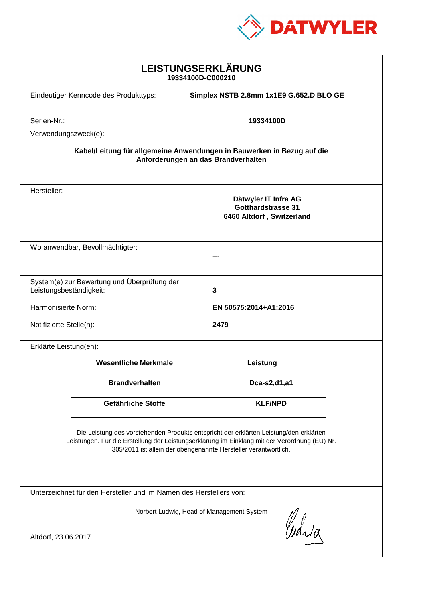

| LEISTUNGSERKLÄRUNG<br>19334100D-C000210                                                                                                                                                                                                                    |                                       |                                                                                |  |
|------------------------------------------------------------------------------------------------------------------------------------------------------------------------------------------------------------------------------------------------------------|---------------------------------------|--------------------------------------------------------------------------------|--|
|                                                                                                                                                                                                                                                            | Eindeutiger Kenncode des Produkttyps: | Simplex NSTB 2.8mm 1x1E9 G.652.D BLO GE                                        |  |
| Serien-Nr.:                                                                                                                                                                                                                                                |                                       | 19334100D                                                                      |  |
| Verwendungszweck(e):                                                                                                                                                                                                                                       |                                       |                                                                                |  |
| Kabel/Leitung für allgemeine Anwendungen in Bauwerken in Bezug auf die<br>Anforderungen an das Brandverhalten                                                                                                                                              |                                       |                                                                                |  |
| Hersteller:                                                                                                                                                                                                                                                |                                       | Dätwyler IT Infra AG<br><b>Gotthardstrasse 31</b><br>6460 Altdorf, Switzerland |  |
|                                                                                                                                                                                                                                                            | Wo anwendbar, Bevollmächtigter:       |                                                                                |  |
|                                                                                                                                                                                                                                                            |                                       |                                                                                |  |
| System(e) zur Bewertung und Überprüfung der<br>3<br>Leistungsbeständigkeit:                                                                                                                                                                                |                                       |                                                                                |  |
| Harmonisierte Norm:                                                                                                                                                                                                                                        |                                       | EN 50575:2014+A1:2016                                                          |  |
| Notifizierte Stelle(n):                                                                                                                                                                                                                                    |                                       | 2479                                                                           |  |
| Erklärte Leistung(en):                                                                                                                                                                                                                                     |                                       |                                                                                |  |
|                                                                                                                                                                                                                                                            | <b>Wesentliche Merkmale</b>           | Leistung                                                                       |  |
|                                                                                                                                                                                                                                                            | <b>Brandverhalten</b>                 | Dca-s2,d1,a1                                                                   |  |
|                                                                                                                                                                                                                                                            | <b>Gefährliche Stoffe</b>             | <b>KLF/NPD</b>                                                                 |  |
| Die Leistung des vorstehenden Produkts entspricht der erklärten Leistung/den erklärten<br>Leistungen. Für die Erstellung der Leistungserklärung im Einklang mit der Verordnung (EU) Nr.<br>305/2011 ist allein der obengenannte Hersteller verantwortlich. |                                       |                                                                                |  |
| Unterzeichnet für den Hersteller und im Namen des Herstellers von:                                                                                                                                                                                         |                                       |                                                                                |  |
| Norbert Ludwig, Head of Management System<br>Curia<br>Altdorf, 23.06.2017                                                                                                                                                                                  |                                       |                                                                                |  |
|                                                                                                                                                                                                                                                            |                                       |                                                                                |  |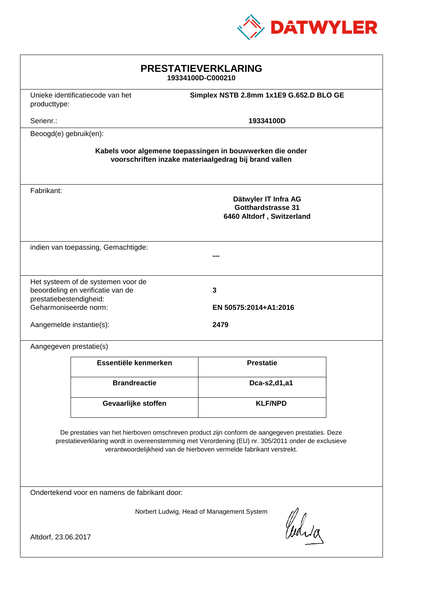

| <b>PRESTATIEVERKLARING</b><br>19334100D-C000210                                                                                                                                                                                                                             |                                                                             |                                                                                |  |
|-----------------------------------------------------------------------------------------------------------------------------------------------------------------------------------------------------------------------------------------------------------------------------|-----------------------------------------------------------------------------|--------------------------------------------------------------------------------|--|
| producttype:                                                                                                                                                                                                                                                                | Simplex NSTB 2.8mm 1x1E9 G.652.D BLO GE<br>Unieke identificatiecode van het |                                                                                |  |
| Serienr.:                                                                                                                                                                                                                                                                   |                                                                             | 19334100D                                                                      |  |
| Beoogd(e) gebruik(en):                                                                                                                                                                                                                                                      |                                                                             |                                                                                |  |
| Kabels voor algemene toepassingen in bouwwerken die onder<br>voorschriften inzake materiaalgedrag bij brand vallen                                                                                                                                                          |                                                                             |                                                                                |  |
| Fabrikant:                                                                                                                                                                                                                                                                  |                                                                             | Dätwyler IT Infra AG<br><b>Gotthardstrasse 31</b><br>6460 Altdorf, Switzerland |  |
| indien van toepassing, Gemachtigde:                                                                                                                                                                                                                                         |                                                                             |                                                                                |  |
| Het systeem of de systemen voor de<br>beoordeling en verificatie van de<br>prestatiebestendigheid:<br>Geharmoniseerde norm:                                                                                                                                                 |                                                                             | $\mathbf{3}$<br>EN 50575:2014+A1:2016                                          |  |
| Aangemelde instantie(s):                                                                                                                                                                                                                                                    |                                                                             | 2479                                                                           |  |
| Aangegeven prestatie(s)                                                                                                                                                                                                                                                     |                                                                             |                                                                                |  |
|                                                                                                                                                                                                                                                                             | Essentiële kenmerken                                                        | <b>Prestatie</b>                                                               |  |
|                                                                                                                                                                                                                                                                             | <b>Brandreactie</b>                                                         | Dca-s2,d1,a1                                                                   |  |
|                                                                                                                                                                                                                                                                             | Gevaarlijke stoffen                                                         | <b>KLF/NPD</b>                                                                 |  |
| De prestaties van het hierboven omschreven product zijn conform de aangegeven prestaties. Deze<br>prestatieverklaring wordt in overeenstemming met Verordening (EU) nr. 305/2011 onder de exclusieve<br>verantwoordelijkheid van de hierboven vermelde fabrikant verstrekt. |                                                                             |                                                                                |  |
| Ondertekend voor en namens de fabrikant door:                                                                                                                                                                                                                               |                                                                             |                                                                                |  |
| Norbert Ludwig, Head of Management System<br>Curia<br>Altdorf, 23.06.2017                                                                                                                                                                                                   |                                                                             |                                                                                |  |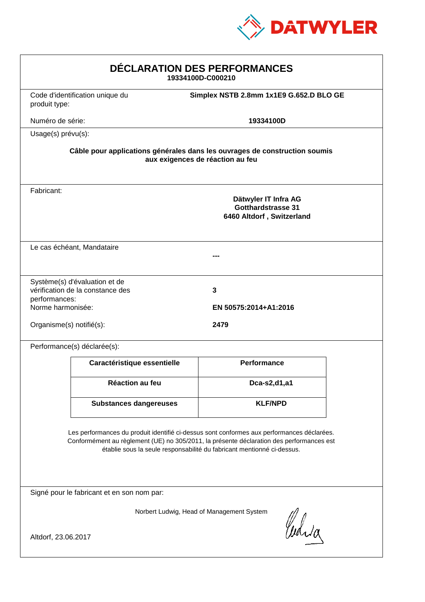

| DÉCLARATION DES PERFORMANCES<br>19334100D-C000210                                                                                                                                                                                                                |                                 |                                                                         |  |
|------------------------------------------------------------------------------------------------------------------------------------------------------------------------------------------------------------------------------------------------------------------|---------------------------------|-------------------------------------------------------------------------|--|
| produit type:                                                                                                                                                                                                                                                    | Code d'identification unique du | Simplex NSTB 2.8mm 1x1E9 G.652.D BLO GE                                 |  |
| Numéro de série:                                                                                                                                                                                                                                                 |                                 | 19334100D                                                               |  |
| Usage(s) prévu(s):                                                                                                                                                                                                                                               |                                 |                                                                         |  |
| Câble pour applications générales dans les ouvrages de construction soumis<br>aux exigences de réaction au feu                                                                                                                                                   |                                 |                                                                         |  |
| Fabricant:                                                                                                                                                                                                                                                       |                                 | Dätwyler IT Infra AG<br>Gotthardstrasse 31<br>6460 Altdorf, Switzerland |  |
| Le cas échéant, Mandataire                                                                                                                                                                                                                                       |                                 |                                                                         |  |
| Système(s) d'évaluation et de<br>vérification de la constance des<br>$\mathbf{3}$<br>performances:<br>Norme harmonisée:<br>EN 50575:2014+A1:2016<br>Organisme(s) notifié(s):<br>2479                                                                             |                                 |                                                                         |  |
|                                                                                                                                                                                                                                                                  | Performance(s) déclarée(s):     |                                                                         |  |
|                                                                                                                                                                                                                                                                  | Caractéristique essentielle     | <b>Performance</b>                                                      |  |
|                                                                                                                                                                                                                                                                  | Réaction au feu                 | Dca-s2,d1,a1                                                            |  |
|                                                                                                                                                                                                                                                                  | <b>Substances dangereuses</b>   | <b>KLF/NPD</b>                                                          |  |
| Les performances du produit identifié ci-dessus sont conformes aux performances déclarées.<br>Conformément au règlement (UE) no 305/2011, la présente déclaration des performances est<br>établie sous la seule responsabilité du fabricant mentionné ci-dessus. |                                 |                                                                         |  |
| Signé pour le fabricant et en son nom par:                                                                                                                                                                                                                       |                                 |                                                                         |  |
| Norbert Ludwig, Head of Management System<br>Waja                                                                                                                                                                                                                |                                 |                                                                         |  |
| Altdorf, 23.06.2017                                                                                                                                                                                                                                              |                                 |                                                                         |  |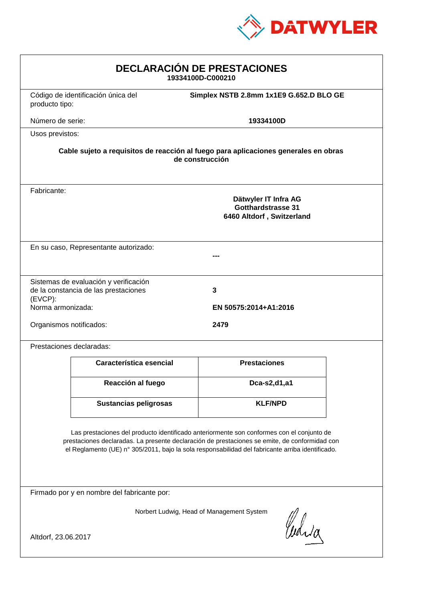

| <b>DECLARACIÓN DE PRESTACIONES</b><br>19334100D-C000210                                                                                                                                                                                                                                        |                                                                                |                                         |  |
|------------------------------------------------------------------------------------------------------------------------------------------------------------------------------------------------------------------------------------------------------------------------------------------------|--------------------------------------------------------------------------------|-----------------------------------------|--|
| producto tipo:                                                                                                                                                                                                                                                                                 | Código de identificación única del                                             | Simplex NSTB 2.8mm 1x1E9 G.652.D BLO GE |  |
| Número de serie:                                                                                                                                                                                                                                                                               |                                                                                | 19334100D                               |  |
| Usos previstos:                                                                                                                                                                                                                                                                                |                                                                                |                                         |  |
| Cable sujeto a requisitos de reacción al fuego para aplicaciones generales en obras<br>de construcción                                                                                                                                                                                         |                                                                                |                                         |  |
| Fabricante:                                                                                                                                                                                                                                                                                    | Dätwyler IT Infra AG<br><b>Gotthardstrasse 31</b><br>6460 Altdorf, Switzerland |                                         |  |
| En su caso, Representante autorizado:                                                                                                                                                                                                                                                          |                                                                                |                                         |  |
| $(EVCP)$ :<br>Norma armonizada:                                                                                                                                                                                                                                                                | Sistemas de evaluación y verificación<br>de la constancia de las prestaciones  | 3<br>EN 50575:2014+A1:2016              |  |
| Organismos notificados:                                                                                                                                                                                                                                                                        |                                                                                | 2479                                    |  |
|                                                                                                                                                                                                                                                                                                | Prestaciones declaradas:                                                       |                                         |  |
|                                                                                                                                                                                                                                                                                                | Característica esencial                                                        | <b>Prestaciones</b>                     |  |
|                                                                                                                                                                                                                                                                                                | Reacción al fuego                                                              | Dca-s2,d1,a1                            |  |
|                                                                                                                                                                                                                                                                                                | <b>Sustancias peligrosas</b>                                                   | <b>KLF/NPD</b>                          |  |
| Las prestaciones del producto identificado anteriormente son conformes con el conjunto de<br>prestaciones declaradas. La presente declaración de prestaciones se emite, de conformidad con<br>el Reglamento (UE) nº 305/2011, bajo la sola responsabilidad del fabricante arriba identificado. |                                                                                |                                         |  |
| Firmado por y en nombre del fabricante por:                                                                                                                                                                                                                                                    |                                                                                |                                         |  |
| Norbert Ludwig, Head of Management System<br>Curia<br>Altdorf, 23.06.2017                                                                                                                                                                                                                      |                                                                                |                                         |  |
|                                                                                                                                                                                                                                                                                                |                                                                                |                                         |  |